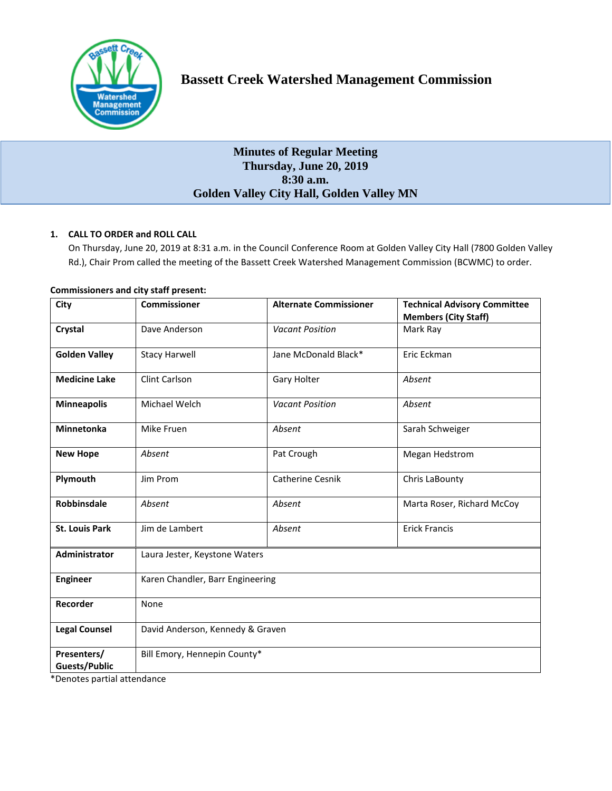

# **Bassett Creek Watershed Management Commission**

## **Minutes of Regular Meeting Thursday, June 20, 2019 8:30 a.m. Golden Valley City Hall, Golden Valley MN**

## **1. CALL TO ORDER and ROLL CALL**

On Thursday, June 20, 2019 at 8:31 a.m. in the Council Conference Room at Golden Valley City Hall (7800 Golden Valley Rd.), Chair Prom called the meeting of the Bassett Creek Watershed Management Commission (BCWMC) to order.

| City                                | <b>Commissioner</b>              | <b>Alternate Commissioner</b> | <b>Technical Advisory Committee</b><br><b>Members (City Staff)</b> |
|-------------------------------------|----------------------------------|-------------------------------|--------------------------------------------------------------------|
| Crystal                             | Dave Anderson                    | <b>Vacant Position</b>        | Mark Ray                                                           |
| <b>Golden Valley</b>                | <b>Stacy Harwell</b>             | Jane McDonald Black*          | Eric Eckman                                                        |
| <b>Medicine Lake</b>                | Clint Carlson                    | Gary Holter                   | Absent                                                             |
| <b>Minneapolis</b>                  | Michael Welch                    | <b>Vacant Position</b>        | Absent                                                             |
| <b>Minnetonka</b>                   | Mike Fruen                       | Absent                        | Sarah Schweiger                                                    |
| <b>New Hope</b>                     | Absent                           | Pat Crough                    | Megan Hedstrom                                                     |
| Plymouth                            | Jim Prom                         | <b>Catherine Cesnik</b>       | Chris LaBounty                                                     |
| <b>Robbinsdale</b>                  | Absent                           | Absent                        | Marta Roser, Richard McCoy                                         |
| <b>St. Louis Park</b>               | Jim de Lambert                   | Absent                        | <b>Erick Francis</b>                                               |
| <b>Administrator</b>                | Laura Jester, Keystone Waters    |                               |                                                                    |
| <b>Engineer</b>                     | Karen Chandler, Barr Engineering |                               |                                                                    |
| Recorder                            | None                             |                               |                                                                    |
| <b>Legal Counsel</b>                | David Anderson, Kennedy & Graven |                               |                                                                    |
| Presenters/<br><b>Guests/Public</b> | Bill Emory, Hennepin County*     |                               |                                                                    |

## **Commissioners and city staff present:**

\*Denotes partial attendance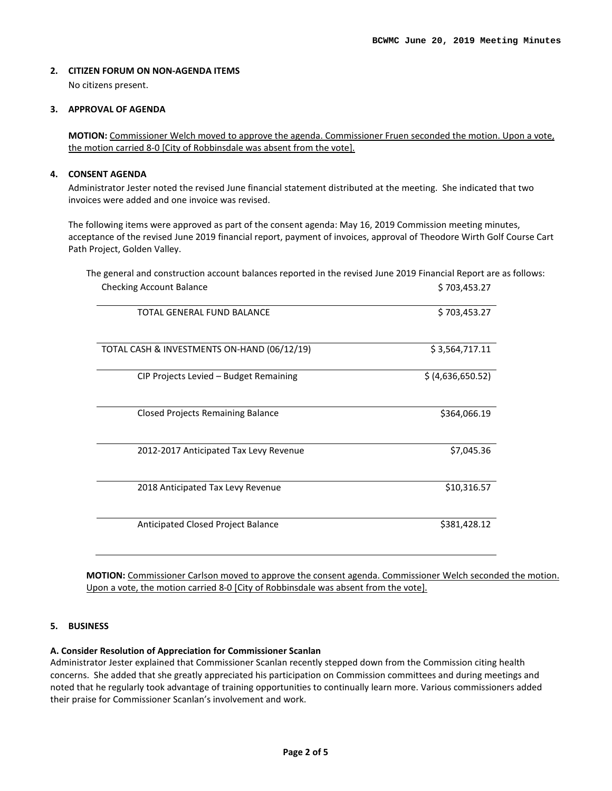#### **2. CITIZEN FORUM ON NON-AGENDA ITEMS**

No citizens present.

#### **3. APPROVAL OF AGENDA**

**MOTION:** Commissioner Welch moved to approve the agenda. Commissioner Fruen seconded the motion. Upon a vote, the motion carried 8-0 [City of Robbinsdale was absent from the vote].

#### **4. CONSENT AGENDA**

Administrator Jester noted the revised June financial statement distributed at the meeting. She indicated that two invoices were added and one invoice was revised.

The following items were approved as part of the consent agenda: May 16, 2019 Commission meeting minutes, acceptance of the revised June 2019 financial report, payment of invoices, approval of Theodore Wirth Golf Course Cart Path Project, Golden Valley.

The general and construction account balances reported in the revised June 2019 Financial Report are as follows: Checking Account Balance **\$ 703,453.27** 

| TOTAL GENERAL FUND BALANCE                  | \$703,453.27      |
|---------------------------------------------|-------------------|
| TOTAL CASH & INVESTMENTS ON-HAND (06/12/19) | \$3,564,717.11    |
| CIP Projects Levied - Budget Remaining      | \$ (4,636,650.52) |
| <b>Closed Projects Remaining Balance</b>    | \$364,066.19      |
| 2012-2017 Anticipated Tax Levy Revenue      | \$7,045.36        |
| 2018 Anticipated Tax Levy Revenue           | \$10,316.57       |
| Anticipated Closed Project Balance          | \$381,428.12      |

**MOTION:** Commissioner Carlson moved to approve the consent agenda. Commissioner Welch seconded the motion. Upon a vote, the motion carried 8-0 [City of Robbinsdale was absent from the vote].

#### **5. BUSINESS**

#### **A. Consider Resolution of Appreciation for Commissioner Scanlan**

Administrator Jester explained that Commissioner Scanlan recently stepped down from the Commission citing health concerns. She added that she greatly appreciated his participation on Commission committees and during meetings and noted that he regularly took advantage of training opportunities to continually learn more. Various commissioners added their praise for Commissioner Scanlan's involvement and work.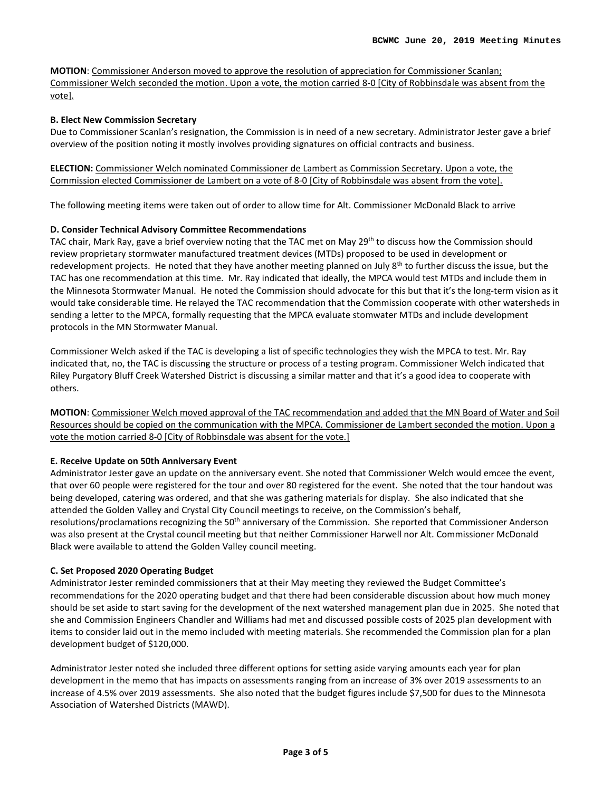**MOTION**: Commissioner Anderson moved to approve the resolution of appreciation for Commissioner Scanlan; Commissioner Welch seconded the motion. Upon a vote, the motion carried 8-0 [City of Robbinsdale was absent from the vote].

#### **B. Elect New Commission Secretary**

Due to Commissioner Scanlan's resignation, the Commission is in need of a new secretary. Administrator Jester gave a brief overview of the position noting it mostly involves providing signatures on official contracts and business.

**ELECTION:** Commissioner Welch nominated Commissioner de Lambert as Commission Secretary. Upon a vote, the Commission elected Commissioner de Lambert on a vote of 8-0 [City of Robbinsdale was absent from the vote].

The following meeting items were taken out of order to allow time for Alt. Commissioner McDonald Black to arrive

#### **D. Consider Technical Advisory Committee Recommendations**

TAC chair, Mark Ray, gave a brief overview noting that the TAC met on May 29<sup>th</sup> to discuss how the Commission should review proprietary stormwater manufactured treatment devices (MTDs) proposed to be used in development or redevelopment projects. He noted that they have another meeting planned on July  $8<sup>th</sup>$  to further discuss the issue, but the TAC has one recommendation at this time. Mr. Ray indicated that ideally, the MPCA would test MTDs and include them in the Minnesota Stormwater Manual. He noted the Commission should advocate for this but that it's the long-term vision as it would take considerable time. He relayed the TAC recommendation that the Commission cooperate with other watersheds in sending a letter to the MPCA, formally requesting that the MPCA evaluate stomwater MTDs and include development protocols in the MN Stormwater Manual.

Commissioner Welch asked if the TAC is developing a list of specific technologies they wish the MPCA to test. Mr. Ray indicated that, no, the TAC is discussing the structure or process of a testing program. Commissioner Welch indicated that Riley Purgatory Bluff Creek Watershed District is discussing a similar matter and that it's a good idea to cooperate with others.

**MOTION**: Commissioner Welch moved approval of the TAC recommendation and added that the MN Board of Water and Soil Resources should be copied on the communication with the MPCA. Commissioner de Lambert seconded the motion. Upon a vote the motion carried 8-0 [City of Robbinsdale was absent for the vote.]

#### **E. Receive Update on 50th Anniversary Event**

Administrator Jester gave an update on the anniversary event. She noted that Commissioner Welch would emcee the event, that over 60 people were registered for the tour and over 80 registered for the event. She noted that the tour handout was being developed, catering was ordered, and that she was gathering materials for display. She also indicated that she attended the Golden Valley and Crystal City Council meetings to receive, on the Commission's behalf, resolutions/proclamations recognizing the 50<sup>th</sup> anniversary of the Commission. She reported that Commissioner Anderson was also present at the Crystal council meeting but that neither Commissioner Harwell nor Alt. Commissioner McDonald Black were available to attend the Golden Valley council meeting.

#### **C. Set Proposed 2020 Operating Budget**

Administrator Jester reminded commissioners that at their May meeting they reviewed the Budget Committee's recommendations for the 2020 operating budget and that there had been considerable discussion about how much money should be set aside to start saving for the development of the next watershed management plan due in 2025. She noted that she and Commission Engineers Chandler and Williams had met and discussed possible costs of 2025 plan development with items to consider laid out in the memo included with meeting materials. She recommended the Commission plan for a plan development budget of \$120,000.

Administrator Jester noted she included three different options for setting aside varying amounts each year for plan development in the memo that has impacts on assessments ranging from an increase of 3% over 2019 assessments to an increase of 4.5% over 2019 assessments. She also noted that the budget figures include \$7,500 for dues to the Minnesota Association of Watershed Districts (MAWD).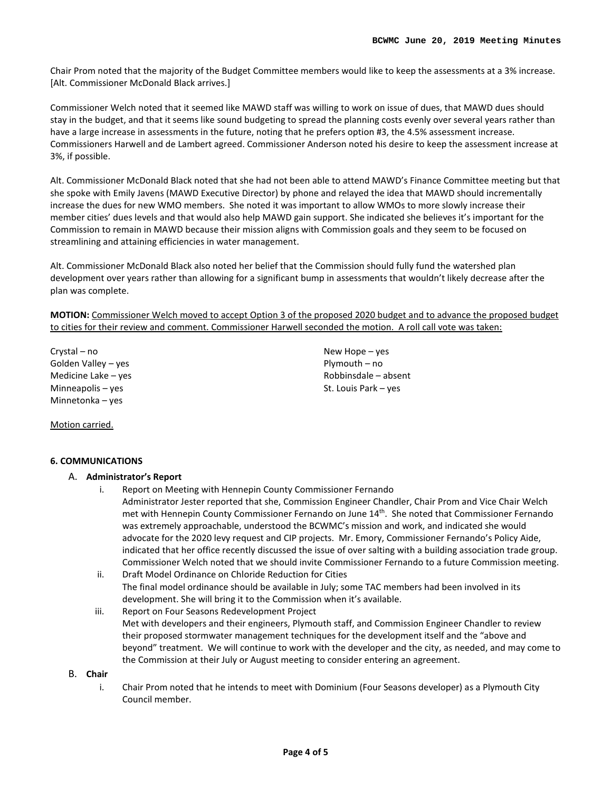Chair Prom noted that the majority of the Budget Committee members would like to keep the assessments at a 3% increase. [Alt. Commissioner McDonald Black arrives.]

Commissioner Welch noted that it seemed like MAWD staff was willing to work on issue of dues, that MAWD dues should stay in the budget, and that it seems like sound budgeting to spread the planning costs evenly over several years rather than have a large increase in assessments in the future, noting that he prefers option #3, the 4.5% assessment increase. Commissioners Harwell and de Lambert agreed. Commissioner Anderson noted his desire to keep the assessment increase at 3%, if possible.

Alt. Commissioner McDonald Black noted that she had not been able to attend MAWD's Finance Committee meeting but that she spoke with Emily Javens (MAWD Executive Director) by phone and relayed the idea that MAWD should incrementally increase the dues for new WMO members. She noted it was important to allow WMOs to more slowly increase their member cities' dues levels and that would also help MAWD gain support. She indicated she believes it's important for the Commission to remain in MAWD because their mission aligns with Commission goals and they seem to be focused on streamlining and attaining efficiencies in water management.

Alt. Commissioner McDonald Black also noted her belief that the Commission should fully fund the watershed plan development over years rather than allowing for a significant bump in assessments that wouldn't likely decrease after the plan was complete.

**MOTION:** Commissioner Welch moved to accept Option 3 of the proposed 2020 budget and to advance the proposed budget to cities for their review and comment. Commissioner Harwell seconded the motion. A roll call vote was taken:

> New Hope – yes Plymouth – no Robbinsdale – absent St. Louis Park – yes

Crystal – no Golden Valley – yes Medicine Lake – yes Minneapolis – yes Minnetonka – yes

Motion carried.

## **6. COMMUNICATIONS**

#### A. **Administrator's Report**

- i. Report on Meeting with Hennepin County Commissioner Fernando Administrator Jester reported that she, Commission Engineer Chandler, Chair Prom and Vice Chair Welch met with Hennepin County Commissioner Fernando on June 14<sup>th</sup>. She noted that Commissioner Fernando was extremely approachable, understood the BCWMC's mission and work, and indicated she would advocate for the 2020 levy request and CIP projects. Mr. Emory, Commissioner Fernando's Policy Aide, indicated that her office recently discussed the issue of over salting with a building association trade group. Commissioner Welch noted that we should invite Commissioner Fernando to a future Commission meeting.
- ii. Draft Model Ordinance on Chloride Reduction for Cities The final model ordinance should be available in July; some TAC members had been involved in its development. She will bring it to the Commission when it's available.
- iii. Report on Four Seasons Redevelopment Project Met with developers and their engineers, Plymouth staff, and Commission Engineer Chandler to review their proposed stormwater management techniques for the development itself and the "above and beyond" treatment. We will continue to work with the developer and the city, as needed, and may come to the Commission at their July or August meeting to consider entering an agreement.

B. **Chair**

i. Chair Prom noted that he intends to meet with Dominium (Four Seasons developer) as a Plymouth City Council member.